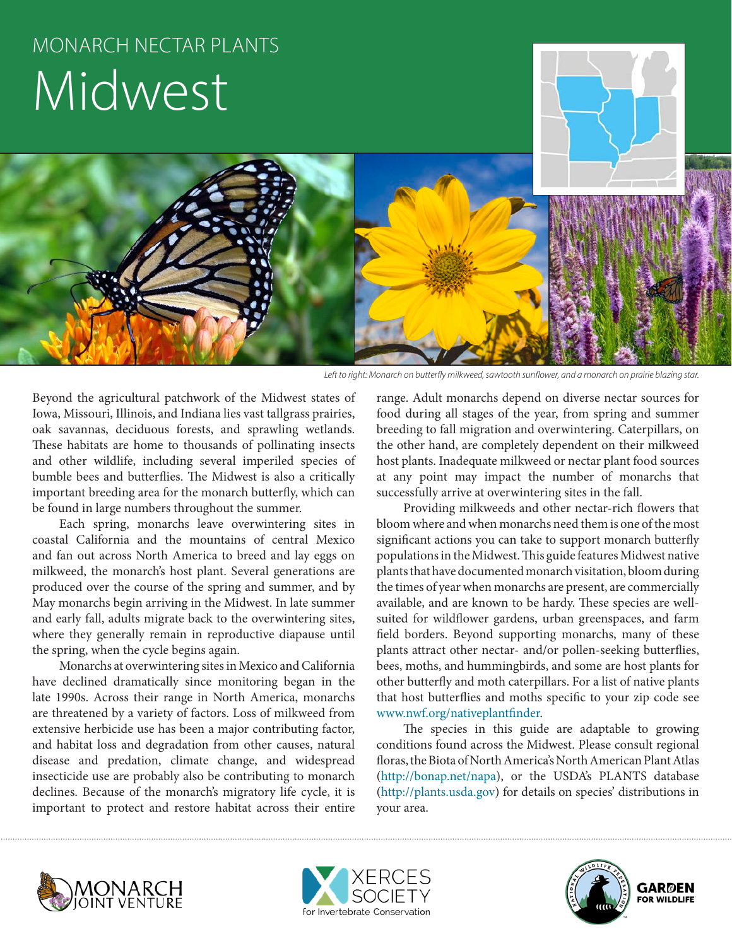# MONARCH NECTAR PLANTS Midwest



*Left to right: Monarch on butterfly milkweed, sawtooth sunflower, and a monarch on prairie blazing star.*

Beyond the agricultural patchwork of the Midwest states of Iowa, Missouri, Illinois, and Indiana lies vast tallgrass prairies, oak savannas, deciduous forests, and sprawling wetlands. These habitats are home to thousands of pollinating insects and other wildlife, including several imperiled species of bumble bees and butterflies. The Midwest is also a critically important breeding area for the monarch butterfly, which can be found in large numbers throughout the summer.

Each spring, monarchs leave overwintering sites in coastal California and the mountains of central Mexico and fan out across North America to breed and lay eggs on milkweed, the monarch's host plant. Several generations are produced over the course of the spring and summer, and by May monarchs begin arriving in the Midwest. In late summer and early fall, adults migrate back to the overwintering sites, where they generally remain in reproductive diapause until the spring, when the cycle begins again.

Monarchs at overwintering sites in Mexico and California have declined dramatically since monitoring began in the late 1990s. Across their range in North America, monarchs are threatened by a variety of factors. Loss of milkweed from extensive herbicide use has been a major contributing factor, and habitat loss and degradation from other causes, natural disease and predation, climate change, and widespread insecticide use are probably also be contributing to monarch declines. Because of the monarch's migratory life cycle, it is important to protect and restore habitat across their entire

range. Adult monarchs depend on diverse nectar sources for food during all stages of the year, from spring and summer breeding to fall migration and overwintering. Caterpillars, on the other hand, are completely dependent on their milkweed host plants. Inadequate milkweed or nectar plant food sources at any point may impact the number of monarchs that successfully arrive at overwintering sites in the fall.

Providing milkweeds and other nectar-rich flowers that bloom where and when monarchs need them is one of the most significant actions you can take to support monarch butterfly populations in the Midwest. This guide features Midwest native plants that have documented monarch visitation, bloom during the times of year when monarchs are present, are commercially available, and are known to be hardy. These species are wellsuited for wildflower gardens, urban greenspaces, and farm field borders. Beyond supporting monarchs, many of these plants attract other nectar- and/or pollen-seeking butterflies, bees, moths, and hummingbirds, and some are host plants for other butterfly and moth caterpillars. For a list of native plants that host butterflies and moths specific to your zip code see www.nwf.org/nativeplantfinder.

The species in this guide are adaptable to growing conditions found across the Midwest. Please consult regional floras, the Biota of North America's North American Plant Atlas (http://bonap.net/napa), or the USDA's PLANTS database (http://plants.usda.gov) for details on species' distributions in your area.





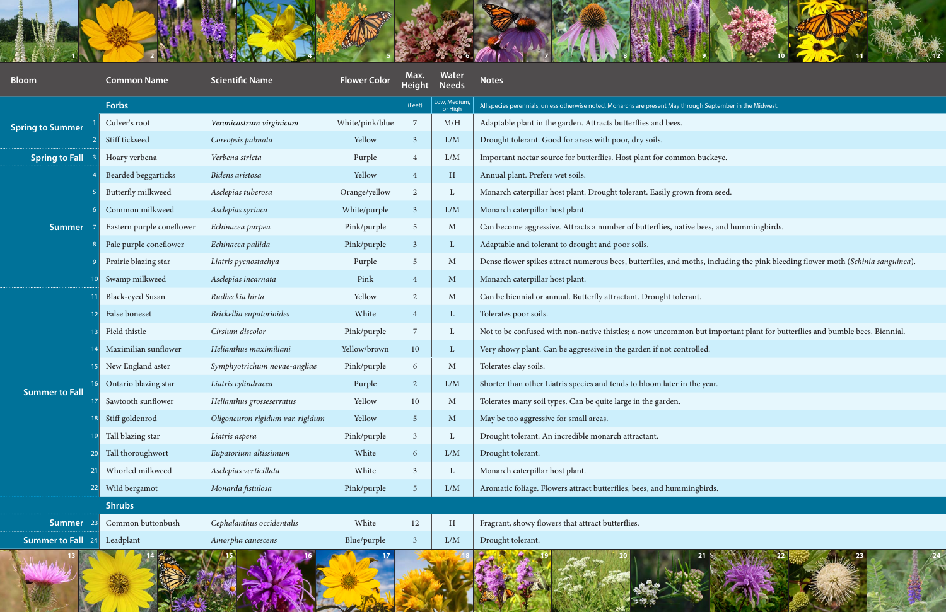



| <b>REAL PROPERTY AND IN PROPERTY</b> |                           | <b>Contract Listens Contract Contract of Alberta Contract Contract Contract Contract Contract Contract Contract Contract Contract Contract Contract Contract Contract Contract Contract Contract Contract Contract Contract Cont</b> |                     |                         |                              | THE REPORT OF A REPORT OF A REPORT OF A REPORT OF A REPORT OF A REPORT OF A REPORT OF A REPORT OF A REPORT OF A REPORT OF A REPORT OF A REPORT OF A REPORT OF A REPORT OF A REPORT OF A REPORT OF A REPORT OF A REPORT OF A RE |
|--------------------------------------|---------------------------|--------------------------------------------------------------------------------------------------------------------------------------------------------------------------------------------------------------------------------------|---------------------|-------------------------|------------------------------|--------------------------------------------------------------------------------------------------------------------------------------------------------------------------------------------------------------------------------|
| <b>Bloom</b>                         | <b>Common Name</b>        | <b>Scientific Name</b>                                                                                                                                                                                                               | <b>Flower Color</b> | Max.<br><b>Height</b>   | <b>Water</b><br><b>Needs</b> | <b>Notes</b>                                                                                                                                                                                                                   |
|                                      | <b>Forbs</b>              |                                                                                                                                                                                                                                      |                     | (Feet)                  | Low, Medium,<br>or High      | All species perennials, unless otherwise noted. Monarchs are present May through September in the Midwest.                                                                                                                     |
| <b>Spring to Summer</b>              | Culver's root             | Veronicastrum virginicum                                                                                                                                                                                                             | White/pink/blue     | 7                       | M/H                          | Adaptable plant in the garden. Attracts butterflies and bees.                                                                                                                                                                  |
|                                      | Stiff tickseed            | Coreopsis palmata                                                                                                                                                                                                                    | Yellow              | $\overline{\mathbf{3}}$ | L/M                          | Drought tolerant. Good for areas with poor, dry soils.                                                                                                                                                                         |
| <b>Spring to Fall</b>                | Hoary verbena             | Verbena stricta                                                                                                                                                                                                                      | Purple              | $\overline{4}$          | L/M                          | Important nectar source for butterflies. Host plant for common buckeye.                                                                                                                                                        |
| <b>Summer</b>                        | Bearded beggarticks       | Bidens aristosa                                                                                                                                                                                                                      | Yellow              | $\overline{4}$          | H                            | Annual plant. Prefers wet soils.                                                                                                                                                                                               |
|                                      | Butterfly milkweed        | Asclepias tuberosa                                                                                                                                                                                                                   | Orange/yellow       | $\overline{2}$          |                              | Monarch caterpillar host plant. Drought tolerant. Easily grown from seed.                                                                                                                                                      |
|                                      | Common milkweed           | Asclepias syriaca                                                                                                                                                                                                                    | White/purple        | 3                       | L/M                          | Monarch caterpillar host plant.                                                                                                                                                                                                |
|                                      | Eastern purple coneflower | Echinacea purpea                                                                                                                                                                                                                     | Pink/purple         | 5                       | M                            | Can become aggressive. Attracts a number of butterflies, native bees, and hummingbirds.                                                                                                                                        |
|                                      | Pale purple coneflower    | Echinacea pallida                                                                                                                                                                                                                    | Pink/purple         | $\overline{3}$          |                              | Adaptable and tolerant to drought and poor soils.                                                                                                                                                                              |
|                                      | Prairie blazing star      | Liatris pycnostachya                                                                                                                                                                                                                 | Purple              | -5                      | M                            | Dense flower spikes attract numerous bees, butterflies, and moths, including the pink bleeding flower moth (Schinia sanguinea).                                                                                                |
|                                      | Swamp milkweed            | Asclepias incarnata                                                                                                                                                                                                                  | Pink                | $\overline{4}$          | $\mathbf{M}$                 | Monarch caterpillar host plant.                                                                                                                                                                                                |
| <b>Summer to Fall</b>                | <b>Black-eyed Susan</b>   | Rudbeckia hirta                                                                                                                                                                                                                      | Yellow              | $\overline{2}$          | M                            | Can be biennial or annual. Butterfly attractant. Drought tolerant.                                                                                                                                                             |
|                                      | False boneset             | Brickellia eupatorioides                                                                                                                                                                                                             | White               | $\overline{4}$          |                              | Tolerates poor soils.                                                                                                                                                                                                          |
|                                      | Field thistle             | Cirsium discolor                                                                                                                                                                                                                     | Pink/purple         | 7                       |                              | Not to be confused with non-native thistles; a now uncommon but important plant for butterflies and bumble bees. Biennial.                                                                                                     |
|                                      | Maximilian sunflower      | Helianthus maximiliani                                                                                                                                                                                                               | Yellow/brown        | 10 <sup>°</sup>         |                              | Very showy plant. Can be aggressive in the garden if not controlled.                                                                                                                                                           |
|                                      | New England aster         | Symphyotrichum novae-angliae                                                                                                                                                                                                         | Pink/purple         | 6                       | M                            | Tolerates clay soils.                                                                                                                                                                                                          |
|                                      | Ontario blazing star      | Liatris cylindracea                                                                                                                                                                                                                  | Purple              | $\overline{2}$          | L/M                          | Shorter than other Liatris species and tends to bloom later in the year.                                                                                                                                                       |
|                                      | Sawtooth sunflower        | Helianthus grosseserratus                                                                                                                                                                                                            | Yellow              | 10                      | M                            | Tolerates many soil types. Can be quite large in the garden.                                                                                                                                                                   |
|                                      | Stiff goldenrod           | Oligoneuron rigidum var. rigidum                                                                                                                                                                                                     | Yellow              | $\overline{5}$          | $\mathbf{M}$                 | May be too aggressive for small areas.                                                                                                                                                                                         |
|                                      | Tall blazing star         | Liatris aspera                                                                                                                                                                                                                       | Pink/purple         | 3                       |                              | Drought tolerant. An incredible monarch attractant.                                                                                                                                                                            |
|                                      | Tall thoroughwort         | Eupatorium altissimum                                                                                                                                                                                                                | White               | 6                       | L/M                          | Drought tolerant.                                                                                                                                                                                                              |
|                                      | Whorled milkweed          | Asclepias verticillata                                                                                                                                                                                                               | White               | $\overline{3}$          |                              | Monarch caterpillar host plant.                                                                                                                                                                                                |
|                                      | Wild bergamot             | Monarda fistulosa                                                                                                                                                                                                                    | Pink/purple         | $\overline{5}$          | L/M                          | Aromatic foliage. Flowers attract butterflies, bees, and hummingbirds.                                                                                                                                                         |
|                                      | <b>Shrubs</b>             |                                                                                                                                                                                                                                      |                     |                         |                              |                                                                                                                                                                                                                                |
| Summer                               | Common buttonbush         | Cephalanthus occidentalis                                                                                                                                                                                                            | White               | 12                      | H                            | Fragrant, showy flowers that attract butterflies.                                                                                                                                                                              |
| <b>Summer to Fall</b> 24             | Leadplant                 | Amorpha canescens                                                                                                                                                                                                                    | Blue/purple         | $\overline{3}$          | L/M                          | Drought tolerant.                                                                                                                                                                                                              |
| 13                                   |                           |                                                                                                                                                                                                                                      |                     |                         |                              | 19<br>$21 \times 100$                                                                                                                                                                                                          |